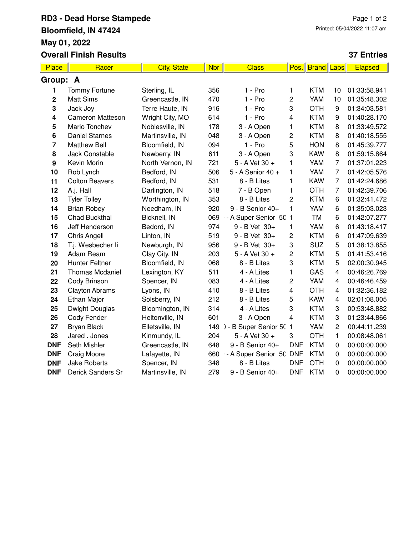# **RD3 - Dead Horse Stampede Bloomfield, IN 47424 May 01, 2022 Overall Finish Results**

### Page 1 of 2 Printed: 05/04/2022 11:07 am

#### **37 Entries**

| Place                   | Racer                   | <b>City, State</b> | <b>Nbr</b> | <b>Class</b>                | Pos.                    | <b>Brand Laps</b> |                  | Elapsed      |  |  |  |
|-------------------------|-------------------------|--------------------|------------|-----------------------------|-------------------------|-------------------|------------------|--------------|--|--|--|
| Group: A                |                         |                    |            |                             |                         |                   |                  |              |  |  |  |
| 1                       | <b>Tommy Fortune</b>    | Sterling, IL       | 356        | 1 - Pro                     | 1                       | <b>KTM</b>        | 10               | 01:33:58.941 |  |  |  |
| 2                       | <b>Matt Sims</b>        | Greencastle, IN    | 470        | $1 - Pro$                   | 2                       | YAM               | 10               | 01:35:48.302 |  |  |  |
| 3                       | Jack Joy                | Terre Haute, IN    | 916        | $1 - Pro$                   | 3                       | <b>OTH</b>        | 9                | 01:34:03.581 |  |  |  |
| 4                       | <b>Cameron Matteson</b> | Wright City, MO    | 614        | $1 - Pro$                   | 4                       | <b>KTM</b>        | $\boldsymbol{9}$ | 01:40:28.170 |  |  |  |
| 5                       | Mario Tonchev           | Noblesville, IN    | 178        | 3 - A Open                  | 1                       | <b>KTM</b>        | 8                | 01:33:49.572 |  |  |  |
| 6                       | <b>Daniel Starnes</b>   | Martinsville, IN   | 048        | 3 - A Open                  | 2                       | <b>KTM</b>        | 8                | 01:40:18.555 |  |  |  |
| $\overline{\mathbf{r}}$ | <b>Matthew Bell</b>     | Bloomfield, IN     | 094        | $1 - Pro$                   | 5                       | <b>HON</b>        | 8                | 01:45:39.777 |  |  |  |
| 8                       | Jack Constable          | Newberry, IN       | 611        | 3 - A Open                  | 3                       | <b>KAW</b>        | 8                | 01:59:15.864 |  |  |  |
| 9                       | Kevin Morin             | North Vernon, IN   | 721        | 5 - A Vet 30 +              | 1                       | YAM               | 7                | 01:37:01.223 |  |  |  |
| 10                      | Rob Lynch               | Bedford, IN        | 506        | 5 - A Senior 40 +           | 1                       | YAM               | $\overline{7}$   | 01:42:05.576 |  |  |  |
| 11                      | <b>Colton Beavers</b>   | Bedford, IN        | 531        | 8 - B Lites                 | 1                       | <b>KAW</b>        | $\overline{7}$   | 01:42:24.686 |  |  |  |
| 12                      | A.j. Hall               | Darlington, IN     | 518        | 7 - B Open                  | 1                       | <b>OTH</b>        | 7                | 01:42:39.706 |  |  |  |
| 13                      | <b>Tyler Tolley</b>     | Worthington, IN    | 353        | 8 - B Lites                 | $\overline{c}$          | <b>KTM</b>        | 6                | 01:32:41.472 |  |  |  |
| 14                      | <b>Brian Robey</b>      | Needham, IN        | 920        | 9 - B Senior 40+            | $\mathbf{1}$            | YAM               | 6                | 01:35:03.023 |  |  |  |
| 15                      | Chad Buckthal           | Bicknell, IN       | 069        | 1 - A Super Senior 50 1     |                         | <b>TM</b>         | 6                | 01:42:07.277 |  |  |  |
| 16                      | Jeff Henderson          | Bedord, IN         | 974        | 9 - B Vet 30+               | 1                       | YAM               | 6                | 01:43:18.417 |  |  |  |
| 17                      | <b>Chris Angell</b>     | Linton, IN         | 519        | 9 - B Vet 30+               | 2                       | <b>KTM</b>        | 6                | 01:47:09.639 |  |  |  |
| 18                      | T.j. Wesbecher li       | Newburgh, IN       | 956        | 9 - B Vet 30+               | 3                       | <b>SUZ</b>        | 5                | 01:38:13.855 |  |  |  |
| 19                      | Adam Ream               | Clay City, IN      | 203        | 5 - A Vet 30 +              | 2                       | <b>KTM</b>        | 5                | 01:41:53.416 |  |  |  |
| 20                      | <b>Hunter Feltner</b>   | Bloomfield, IN     | 068        | 8 - B Lites                 | 3                       | <b>KTM</b>        | 5                | 02:00:30.945 |  |  |  |
| 21                      | <b>Thomas Mcdaniel</b>  | Lexington, KY      | 511        | 4 - A Lites                 | 1                       | GAS               | 4                | 00:46:26.769 |  |  |  |
| 22                      | Cody Brinson            | Spencer, IN        | 083        | 4 - A Lites                 | 2                       | YAM               | 4                | 00:46:46.459 |  |  |  |
| 23                      | <b>Clayton Abrams</b>   | Lyons, IN          | 410        | 8 - B Lites                 | $\overline{\mathbf{4}}$ | <b>OTH</b>        | 4                | 01:32:36.182 |  |  |  |
| 24                      | Ethan Major             | Solsberry, IN      | 212        | 8 - B Lites                 | 5                       | <b>KAW</b>        | 4                | 02:01:08.005 |  |  |  |
| 25                      | <b>Dwight Douglas</b>   | Bloomington, IN    | 314        | 4 - A Lites                 | 3                       | <b>KTM</b>        | 3                | 00:53:48.882 |  |  |  |
| 26                      | Cody Fender             | Heltonville, IN    | 601        | 3 - A Open                  | $\overline{\mathbf{4}}$ | <b>KTM</b>        | 3                | 01:23:44.866 |  |  |  |
| 27                      | <b>Bryan Black</b>      | Elletsville, IN    |            | 149 ) - B Super Senior 50 1 |                         | YAM               | $\overline{c}$   | 00:44:11.239 |  |  |  |
| 28                      | Jared . Jones           | Kinmundy, IL       | 204        | 5 - A Vet 30 +              | 3                       | <b>OTH</b>        | 1                | 00:08:48.061 |  |  |  |
| <b>DNF</b>              | Seth Mishler            | Greencastle, IN    | 648        | 9 - B Senior 40+            | <b>DNF</b>              | <b>KTM</b>        | 0                | 00:00:00.000 |  |  |  |
| <b>DNF</b>              | Craig Moore             | Lafayette, IN      | 660        | - A Super Senior 50         | <b>DNF</b>              | <b>KTM</b>        | $\pmb{0}$        | 00:00:00.000 |  |  |  |
| <b>DNF</b>              | <b>Jake Roberts</b>     | Spencer, IN        | 348        | 8 - B Lites                 | <b>DNF</b>              | <b>OTH</b>        | $\pmb{0}$        | 00:00:00.000 |  |  |  |
| <b>DNF</b>              | Derick Sanders Sr       | Martinsville, IN   | 279        | 9 - B Senior 40+            | <b>DNF</b>              | <b>KTM</b>        | 0                | 00:00:00.000 |  |  |  |